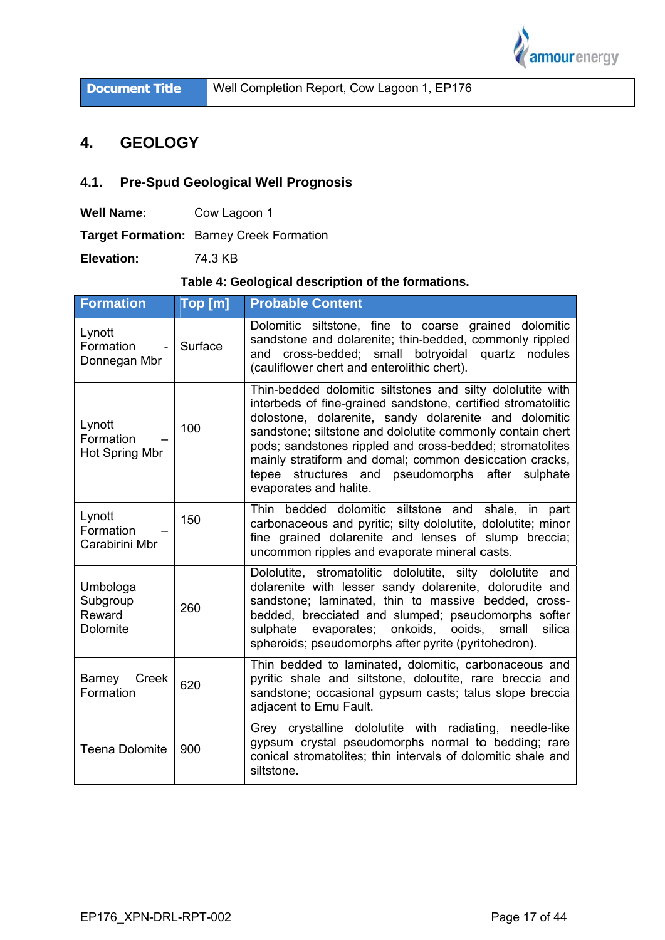

**Document Title** 

Well Completion Report, Cow Lagoon 1, EP176

### $4.$ **GEOLOGY**

### $4.1.$ **Pre-Spud Geological Well Prognosis**

Cow Lagoon 1 **Well Name:** 

Target Formation: Barney Creek Formation

Elevation: 74.3 KB

# Table 4: Geological description of the formations.

| <b>Formation</b>                           | Top [m] | <b>Probable Content</b>                                                                                                                                                                                                                                                                                                                                                                                                                                |
|--------------------------------------------|---------|--------------------------------------------------------------------------------------------------------------------------------------------------------------------------------------------------------------------------------------------------------------------------------------------------------------------------------------------------------------------------------------------------------------------------------------------------------|
| Lynott<br>Formation<br>Donnegan Mbr        | Surface | Dolomitic siltstone, fine to coarse grained dolomitic<br>sandstone and dolarenite; thin-bedded, commonly rippled<br>and cross-bedded; small botryoidal quartz nodules<br>(cauliflower chert and enterolithic chert).                                                                                                                                                                                                                                   |
| Lynott<br>Formation<br>Hot Spring Mbr      | 100     | Thin-bedded dolomitic siltstones and silty dololutite with<br>interbeds of fine-grained sandstone, certified stromatolitic<br>dolostone, dolarenite, sandy dolarenite and dolomitic<br>sandstone; siltstone and dololutite commonly contain chert<br>pods; sandstones rippled and cross-bedded; stromatolites<br>mainly stratiform and domal; common desiccation cracks,<br>tepee structures and pseudomorphs after sulphate<br>evaporates and halite. |
| Lynott<br>Formation<br>Carabirini Mbr      | 150     | Thin<br>bedded dolomitic siltstone and shale, in part<br>carbonaceous and pyritic; silty dololutite, dololutite; minor<br>fine grained dolarenite and lenses of slump breccia;<br>uncommon ripples and evaporate mineral casts.                                                                                                                                                                                                                        |
| Umbologa<br>Subgroup<br>Reward<br>Dolomite | 260     | Dololutite, stromatolitic dololutite, silty<br>dololutite and<br>dolarenite with lesser sandy dolarenite, dolorudite and<br>sandstone; laminated, thin to massive bedded, cross-<br>bedded, brecciated and slumped; pseudomorphs softer<br>evaporates; onkoids, ooids,<br>small<br>silica<br>sulphate<br>spheroids; pseudomorphs after pyrite (pyritohedron).                                                                                          |
| Barney<br>Creek<br>Formation               | 620     | Thin bedded to laminated, dolomitic, carbonaceous and<br>pyritic shale and siltstone, doloutite, rare breccia and<br>sandstone; occasional gypsum casts; talus slope breccia<br>adjacent to Emu Fault.                                                                                                                                                                                                                                                 |
| <b>Teena Dolomite</b>                      | 900     | Grey crystalline dololutite with radiating, needle-like<br>gypsum crystal pseudomorphs normal to bedding; rare<br>conical stromatolites; thin intervals of dolomitic shale and<br>siltstone.                                                                                                                                                                                                                                                           |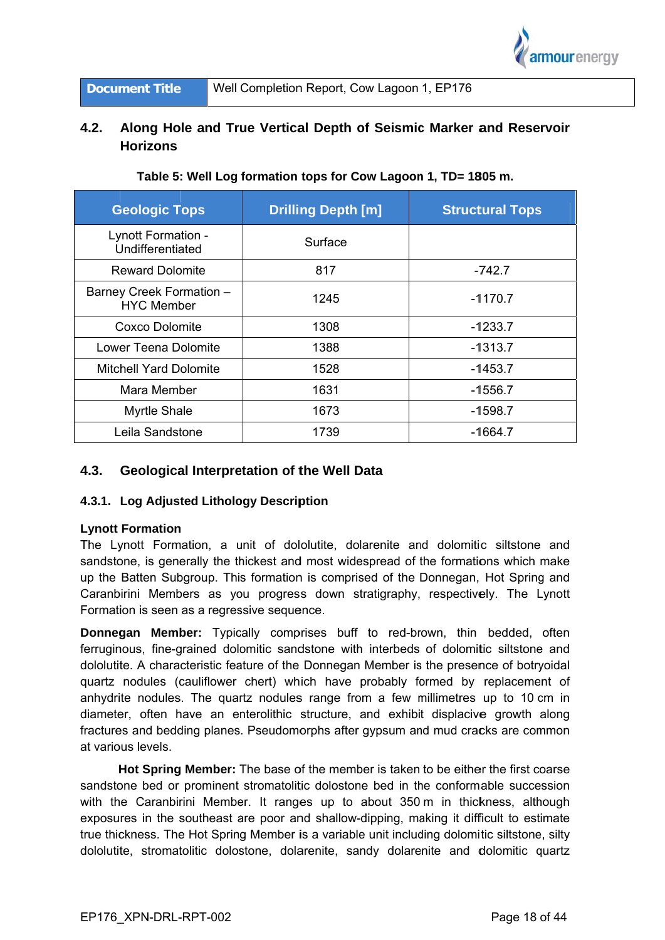

**Document Title** 

### $4.2.$ Along Hole and True Vertical Depth of Seismic Marker and Reservoir **Horizons**

| <b>Geologic Tops</b>                          | <b>Drilling Depth [m]</b> | <b>Structural Tops</b> |
|-----------------------------------------------|---------------------------|------------------------|
| Lynott Formation -<br>Undifferentiated        | Surface                   |                        |
| <b>Reward Dolomite</b>                        | 817                       | $-742.7$               |
| Barney Creek Formation -<br><b>HYC Member</b> | 1245                      | $-1170.7$              |
| Coxco Dolomite                                | 1308                      | $-1233.7$              |
| Lower Teena Dolomite                          | 1388                      | -1313.7                |
| <b>Mitchell Yard Dolomite</b>                 | 1528                      | -1453.7                |
| Mara Member                                   | 1631                      | -1556.7                |
| <b>Myrtle Shale</b>                           | 1673                      | -1598.7                |
| Leila Sandstone                               | 1739                      | -1664.7                |

# Table 5: Well Log formation tops for Cow Lagoon 1, TD= 1805 m.

#### $4.3.$ **Geological Interpretation of the Well Data**

## 4.3.1. Log Adjusted Lithology Description

### **Lynott Formation**

The Lynott Formation, a unit of dololutite, dolarenite and dolomitic siltstone and sandstone, is generally the thickest and most widespread of the formations which make up the Batten Subgroup. This formation is comprised of the Donnegan, Hot Spring and Caranbirini Members as you progress down stratigraphy, respectively. The Lynott Formation is seen as a regressive sequence.

Donnegan Member: Typically comprises buff to red-brown, thin bedded, often ferruginous, fine-grained dolomitic sandstone with interbeds of dolomitic siltstone and dololutite. A characteristic feature of the Donnegan Member is the presence of botryoidal quartz nodules (cauliflower chert) which have probably formed by replacement of anhydrite nodules. The quartz nodules range from a few millimetres up to 10 cm in diameter, often have an enterolithic structure, and exhibit displacive growth along fractures and bedding planes. Pseudomorphs after gypsum and mud cracks are common at various levels

Hot Spring Member: The base of the member is taken to be either the first coarse sandstone bed or prominent stromatolitic dolostone bed in the conformable succession with the Caranbirini Member. It ranges up to about 350 m in thickness, although exposures in the southeast are poor and shallow-dipping, making it difficult to estimate true thickness. The Hot Spring Member is a variable unit including dolomitic siltstone, silty dololutite, stromatolitic dolostone, dolarenite, sandy dolarenite and dolomitic quartz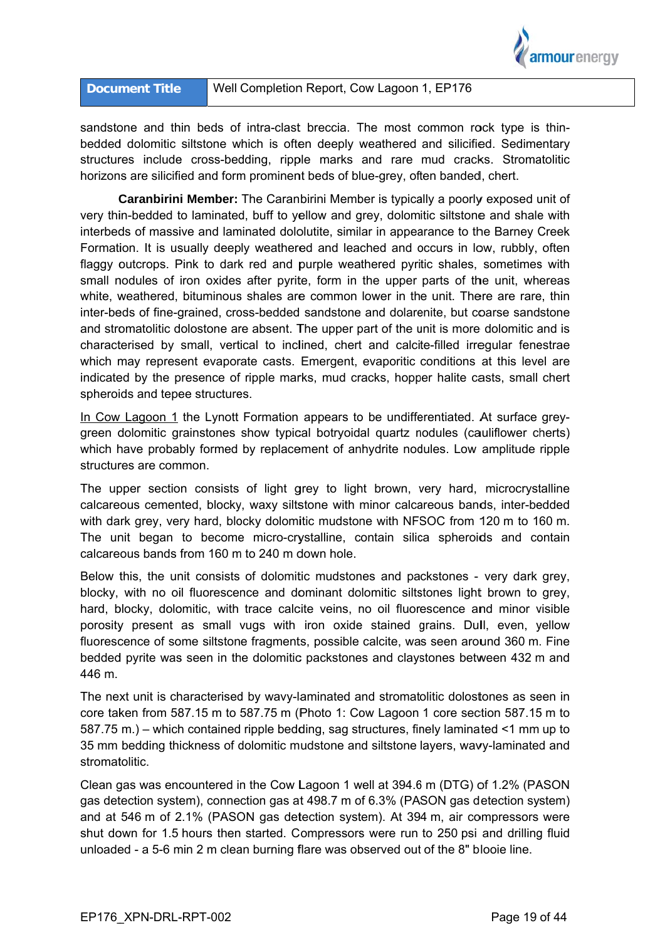

### Well Completion Report, Cow Lagoon 1, EP176 **Document Title**

sandstone and thin beds of intra-clast breccia. The most common rock type is thinbedded dolomitic siltstone which is often deeply weathered and silicified. Sedimentary structures include cross-bedding, ripple marks and rare mud cracks. Stromatolitic horizons are silicified and form prominent beds of blue-grey, often banded, chert.

Caranbirini Member: The Caranbirini Member is typically a poorly exposed unit of very thin-bedded to laminated, buff to yellow and grey, dolomitic siltstone and shale with interbeds of massive and laminated dololutite, similar in appearance to the Barney Creek Formation. It is usually deeply weathered and leached and occurs in low, rubbly, often flaggy outcrops. Pink to dark red and purple weathered pyritic shales, sometimes with small nodules of iron oxides after pyrite, form in the upper parts of the unit, whereas white, weathered, bituminous shales are common lower in the unit. There are rare, thin inter-beds of fine-grained, cross-bedded sandstone and dolarenite, but coarse sandstone and stromatolitic dolostone are absent. The upper part of the unit is more dolomitic and is characterised by small, vertical to inclined, chert and calcite-filled irregular fenestrae which may represent evaporate casts. Emergent, evaporitic conditions at this level are indicated by the presence of ripple marks, mud cracks, hopper halite casts, small chert spheroids and tepee structures.

In Cow Lagoon 1 the Lynott Formation appears to be undifferentiated. At surface greygreen dolomitic grainstones show typical botryoidal quartz nodules (cauliflower cherts) which have probably formed by replacement of anhydrite nodules. Low amplitude ripple structures are common.

The upper section consists of light grey to light brown, very hard, microcrystalline calcareous cemented, blocky, waxy siltstone with minor calcareous bands, inter-bedded with dark grey, very hard, blocky dolomitic mudstone with NFSOC from 120 m to 160 m. The unit began to become micro-crystalline, contain silica spheroids and contain calcareous bands from 160 m to 240 m down hole.

Below this, the unit consists of dolomitic mudstones and packstones - very dark grey, blocky, with no oil fluorescence and dominant dolomitic siltstones light brown to grey. hard, blocky, dolomitic, with trace calcite veins, no oil fluorescence and minor visible porosity present as small vugs with iron oxide stained grains. Dull, even, yellow fluorescence of some siltstone fragments, possible calcite, was seen around 360 m. Fine bedded pyrite was seen in the dolomitic packstones and claystones between 432 m and 446 m.

The next unit is characterised by wavy-laminated and stromatolitic dolostones as seen in core taken from 587.15 m to 587.75 m (Photo 1: Cow Lagoon 1 core section 587.15 m to 587.75 m.) – which contained ripple bedding, sag structures, finely laminated <1 mm up to 35 mm bedding thickness of dolomitic mudstone and siltstone layers, wavy-laminated and stromatolitic.

Clean gas was encountered in the Cow Lagoon 1 well at 394.6 m (DTG) of 1.2% (PASON gas detection system), connection gas at 498.7 m of 6.3% (PASON gas detection system) and at 546 m of 2.1% (PASON gas detection system). At 394 m, air compressors were shut down for 1.5 hours then started. Compressors were run to 250 psi and drilling fluid unloaded - a 5-6 min 2 m clean burning flare was observed out of the 8" blooie line.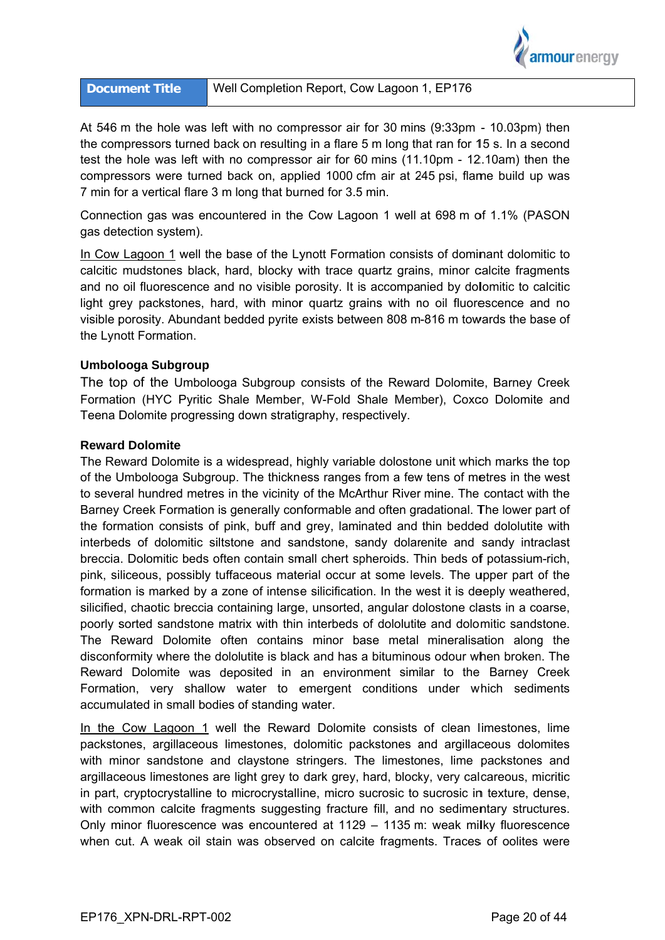

At 546 m the hole was left with no compressor air for 30 mins (9:33pm - 10.03pm) then the compressors turned back on resulting in a flare 5 m long that ran for 15 s. In a second test the hole was left with no compressor air for 60 mins (11.10pm - 12.10am) then the compressors were turned back on, applied 1000 cfm air at 245 psi, flame build up was 7 min for a vertical flare 3 m long that burned for 3.5 min.

Connection gas was encountered in the Cow Lagoon 1 well at 698 m of 1.1% (PASON gas detection system).

In Cow Lagoon 1 well the base of the Lynott Formation consists of dominant dolomitic to calcitic mudstones black, hard, blocky with trace quartz grains, minor calcite fragments and no oil fluorescence and no visible porosity. It is accompanied by dolomitic to calcitic light grey packstones, hard, with minor quartz grains with no oil fluorescence and no visible porosity. Abundant bedded pyrite exists between 808 m-816 m towards the base of the Lynott Formation.

### Umbolooga Subgroup

The top of the Umbolooga Subgroup consists of the Reward Dolomite, Barney Creek Formation (HYC Pyritic Shale Member, W-Fold Shale Member), Coxco Dolomite and Teena Dolomite progressing down stratigraphy, respectively.

### **Reward Dolomite**

The Reward Dolomite is a widespread, highly variable dolostone unit which marks the top of the Umbolooga Subgroup. The thickness ranges from a few tens of metres in the west to several hundred metres in the vicinity of the McArthur River mine. The contact with the Barney Creek Formation is generally conformable and often gradational. The lower part of the formation consists of pink, buff and grey, laminated and thin bedded dololutite with interbeds of dolomitic siltstone and sandstone, sandy dolarenite and sandy intraclast breccia. Dolomitic beds often contain small chert spheroids. Thin beds of potassium-rich, pink, siliceous, possibly tuffaceous material occur at some levels. The upper part of the formation is marked by a zone of intense silicification. In the west it is deeply weathered, silicified, chaotic breccia containing large, unsorted, angular dolostone clasts in a coarse, poorly sorted sandstone matrix with thin interbeds of dololutite and dolomitic sandstone. The Reward Dolomite often contains minor base metal mineralisation along the disconformity where the dololutite is black and has a bituminous odour when broken. The Reward Dolomite was deposited in an environment similar to the Barney Creek Formation, very shallow water to emergent conditions under which sediments accumulated in small bodies of standing water.

In the Cow Lagoon 1 well the Reward Dolomite consists of clean limestones, lime packstones, argillaceous limestones, dolomitic packstones and argillaceous dolomites with minor sandstone and claystone stringers. The limestones, lime packstones and argillaceous limestones are light grey to dark grey, hard, blocky, very calcareous, micritic in part, cryptocrystalline to microcrystalline, micro sucrosic to sucrosic in texture, dense, with common calcite fragments suggesting fracture fill, and no sedimentary structures. Only minor fluorescence was encountered at 1129 - 1135 m: weak milky fluorescence when cut. A weak oil stain was observed on calcite fragments. Traces of oolites were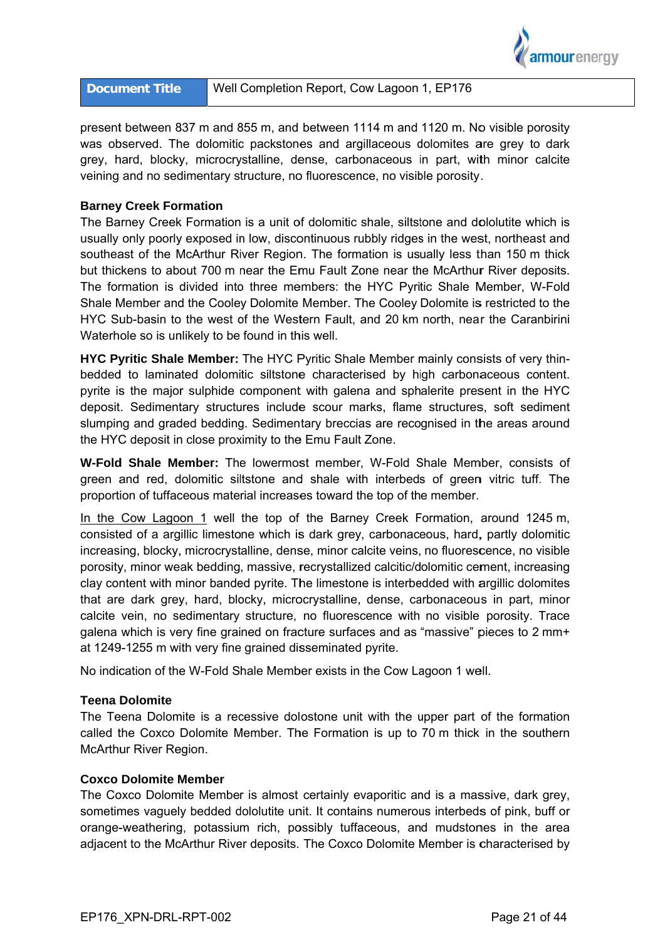

| <b>Document Title</b> | Well Completion Report, Cow Lagoon 1, EP176 |
|-----------------------|---------------------------------------------|
|-----------------------|---------------------------------------------|

present between 837 m and 855 m, and between 1114 m and 1120 m. No visible porosity was observed. The dolomitic packstones and argillaceous dolomites are grey to dark grey, hard, blocky, microcrystalline, dense, carbonaceous in part, with minor calcite veining and no sedimentary structure, no fluorescence, no visible porosity.

### **Barney Creek Formation**

The Barney Creek Formation is a unit of dolomitic shale, siltstone and dololutite which is usually only poorly exposed in low, discontinuous rubbly ridges in the west, northeast and southeast of the McArthur River Region. The formation is usually less than 150 m thick but thickens to about 700 m near the Emu Fault Zone near the McArthur River deposits. The formation is divided into three members: the HYC Pyritic Shale Member, W-Fold Shale Member and the Cooley Dolomite Member. The Cooley Dolomite is restricted to the HYC Sub-basin to the west of the Western Fault, and 20 km north, near the Caranbirini Waterhole so is unlikely to be found in this well.

HYC Pyritic Shale Member: The HYC Pyritic Shale Member mainly consists of very thinbedded to laminated dolomitic siltstone characterised by high carbonaceous content. pyrite is the major sulphide component with galena and sphalerite present in the HYC deposit. Sedimentary structures include scour marks, flame structures, soft sediment slumping and graded bedding. Sedimentary breccias are recognised in the areas around the HYC deposit in close proximity to the Emu Fault Zone.

W-Fold Shale Member: The lowermost member, W-Fold Shale Member, consists of green and red, dolomitic siltstone and shale with interbeds of green vitric tuff. The proportion of tuffaceous material increases toward the top of the member.

In the Cow Lagoon 1 well the top of the Barney Creek Formation, around 1245 m, consisted of a argillic limestone which is dark grey, carbonaceous, hard, partly dolomitic increasing, blocky, microcrystalline, dense, minor calcite veins, no fluorescence, no visible porosity, minor weak bedding, massive, recrystallized calcitic/dolomitic cement, increasing clay content with minor banded pyrite. The limestone is interbedded with argillic dolomites that are dark grey, hard, blocky, microcrystalline, dense, carbonaceous in part, minor calcite vein, no sedimentary structure, no fluorescence with no visible porosity. Trace galena which is very fine grained on fracture surfaces and as "massive" pieces to 2 mm+ at 1249-1255 m with very fine grained disseminated pyrite.

No indication of the W-Fold Shale Member exists in the Cow Lagoon 1 well.

### **Teena Dolomite**

The Teena Dolomite is a recessive dolostone unit with the upper part of the formation called the Coxco Dolomite Member. The Formation is up to 70 m thick in the southern McArthur River Region.

### **Coxco Dolomite Member**

The Coxco Dolomite Member is almost certainly evaporitic and is a massive, dark grey, sometimes vaguely bedded dololutite unit. It contains numerous interbeds of pink, buff or orange-weathering, potassium rich, possibly tuffaceous, and mudstones in the area adjacent to the McArthur River deposits. The Coxco Dolomite Member is characterised by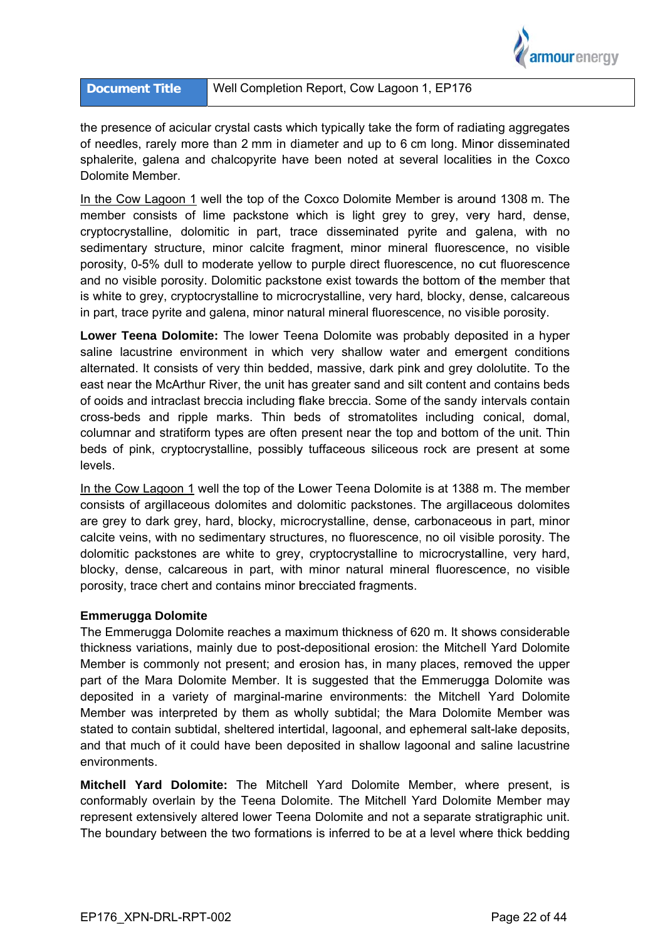

the presence of acicular crystal casts which typically take the form of radiating aggregates of needles, rarely more than 2 mm in diameter and up to 6 cm long. Minor disseminated sphalerite, galena and chalcopyrite have been noted at several localities in the Coxco Dolomite Member.

In the Cow Lagoon 1 well the top of the Coxco Dolomite Member is around 1308 m. The member consists of lime packstone which is light grey to grey, very hard, dense, cryptocrystalline, dolomitic in part, trace disseminated pyrite and galena, with no sedimentary structure, minor calcite fragment, minor mineral fluorescence, no visible porosity, 0-5% dull to moderate yellow to purple direct fluorescence, no cut fluorescence and no visible porosity. Dolomitic packstone exist towards the bottom of the member that is white to grey, cryptocrystalline to microcrystalline, very hard, blocky, dense, calcareous in part, trace pyrite and galena, minor natural mineral fluorescence, no visible porosity.

Lower Teena Dolomite: The lower Teena Dolomite was probably deposited in a hyper saline lacustrine environment in which very shallow water and emergent conditions alternated. It consists of very thin bedded, massive, dark pink and grey dololutite. To the east near the McArthur River, the unit has greater sand and silt content and contains beds of ooids and intraclast breccia including flake breccia. Some of the sandy intervals contain cross-beds and ripple marks. Thin beds of stromatolites including conical, domal, columnar and stratiform types are often present near the top and bottom of the unit. Thin beds of pink, cryptocrystalline, possibly tuffaceous siliceous rock are present at some levels.

In the Cow Lagoon 1 well the top of the Lower Teena Dolomite is at 1388 m. The member consists of argillaceous dolomites and dolomitic packstones. The argillaceous dolomites are grey to dark grey, hard, blocky, microcrystalline, dense, carbonaceous in part, minor calcite veins, with no sedimentary structures, no fluorescence, no oil visible porosity. The dolomitic packstones are white to grey, cryptocrystalline to microcrystalline, very hard, blocky, dense, calcareous in part, with minor natural mineral fluorescence, no visible porosity, trace chert and contains minor brecciated fragments.

### **Emmerugga Dolomite**

The Emmerugga Dolomite reaches a maximum thickness of 620 m. It shows considerable thickness variations, mainly due to post-depositional erosion: the Mitchell Yard Dolomite Member is commonly not present; and erosion has, in many places, removed the upper part of the Mara Dolomite Member. It is suggested that the Emmerugga Dolomite was deposited in a variety of marginal-marine environments: the Mitchell Yard Dolomite Member was interpreted by them as wholly subtidal; the Mara Dolomite Member was stated to contain subtidal, sheltered intertidal, lagoonal, and ephemeral salt-lake deposits. and that much of it could have been deposited in shallow lagoonal and saline lacustrine environments.

Mitchell Yard Dolomite: The Mitchell Yard Dolomite Member, where present, is conformably overlain by the Teena Dolomite. The Mitchell Yard Dolomite Member may represent extensively altered lower Teena Dolomite and not a separate stratigraphic unit. The boundary between the two formations is inferred to be at a level where thick bedding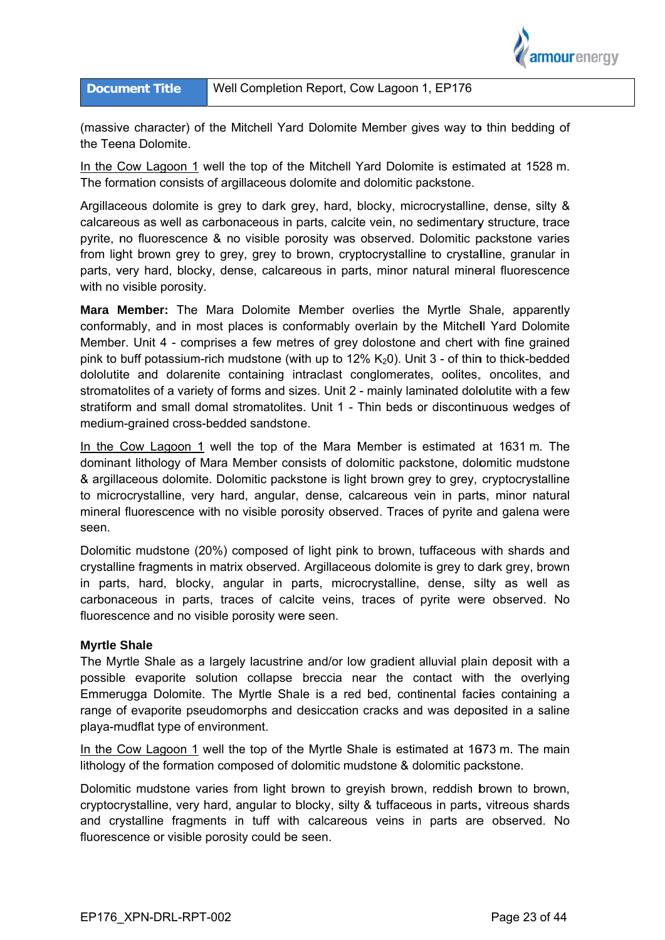

(massive character) of the Mitchell Yard Dolomite Member gives way to thin bedding of the Teena Dolomite.

In the Cow Lagoon 1 well the top of the Mitchell Yard Dolomite is estimated at 1528 m. The formation consists of argillaceous dolomite and dolomitic packstone.

Argillaceous dolomite is grey to dark grey, hard, blocky, microcrystalline, dense, silty & calcareous as well as carbonaceous in parts, calcite vein, no sedimentary structure, trace pyrite, no fluorescence & no visible porosity was observed. Dolomitic packstone varies from light brown grey to grey, grey to brown, cryptocrystalline to crystalline, granular in parts, very hard, blocky, dense, calcareous in parts, minor natural mineral fluorescence with no visible porosity.

Mara Member: The Mara Dolomite Member overlies the Myrtle Shale, apparently conformably, and in most places is conformably overlain by the Mitchell Yard Dolomite Member. Unit 4 - comprises a few metres of grey dolostone and chert with fine grained pink to buff potassium-rich mudstone (with up to 12%  $K_2$ 0). Unit 3 - of thin to thick-bedded dololutite and dolarenite containing intraclast conglomerates, oolites, oncolites, and stromatolites of a variety of forms and sizes. Unit 2 - mainly laminated dololutite with a few stratiform and small domal stromatolites. Unit 1 - Thin beds or discontinuous wedges of medium-grained cross-bedded sandstone.

In the Cow Lagoon 1 well the top of the Mara Member is estimated at 1631 m. The dominant lithology of Mara Member consists of dolomitic packstone, dolomitic mudstone & argillaceous dolomite. Dolomitic packstone is light brown grey to grey, cryptocrystalline to microcrystalline, very hard, angular, dense, calcareous vein in parts, minor natural mineral fluorescence with no visible porosity observed. Traces of pyrite and galena were seen.

Dolomitic mudstone (20%) composed of light pink to brown, tuffaceous with shards and crystalline fragments in matrix observed. Argillaceous dolomite is grey to dark grey, brown in parts, hard, blocky, angular in parts, microcrystalline, dense, silty as well as carbonaceous in parts, traces of calcite veins, traces of pyrite were observed. No fluorescence and no visible porosity were seen.

### **Myrtle Shale**

The Myrtle Shale as a largely lacustrine and/or low gradient alluvial plain deposit with a possible evaporite solution collapse breccia near the contact with the overlying Emmerugga Dolomite. The Myrtle Shale is a red bed, continental facies containing a range of evaporite pseudomorphs and desiccation cracks and was deposited in a saline playa-mudflat type of environment.

In the Cow Lagoon 1 well the top of the Myrtle Shale is estimated at 1673 m. The main lithology of the formation composed of dolomitic mudstone & dolomitic packstone.

Dolomitic mudstone varies from light brown to grevish brown, reddish brown to brown, cryptocrystalline, very hard, angular to blocky, silty & tuffaceous in parts, vitreous shards and crystalline fragments in tuff with calcareous veins in parts are observed. No fluorescence or visible porosity could be seen.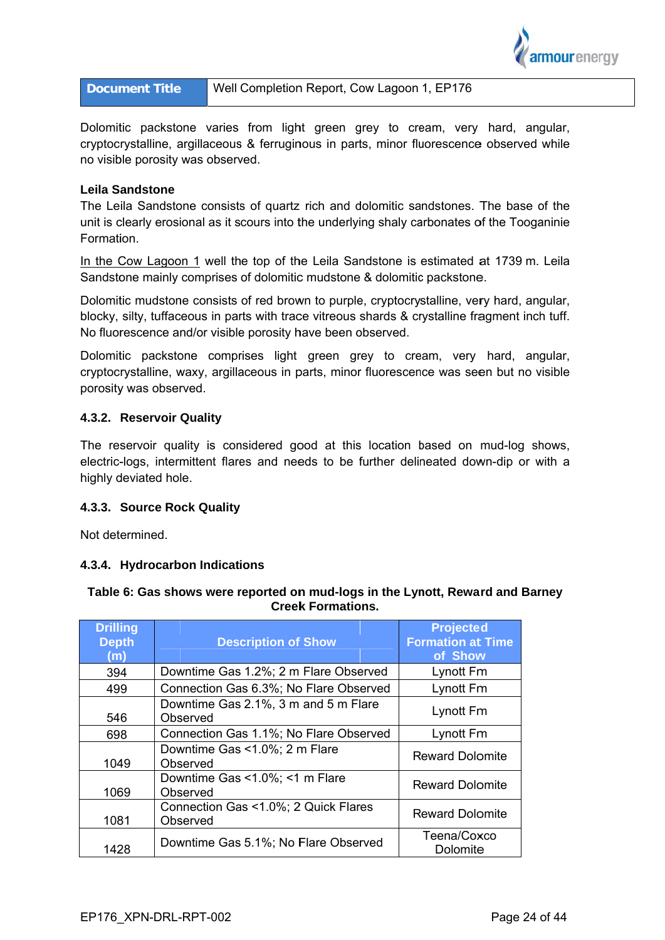

| Well Completion Report, Cow Lagoon 1, EP176<br><b>Document Title</b> |
|----------------------------------------------------------------------|
|----------------------------------------------------------------------|

Dolomitic packstone varies from light green grey to cream, very hard, angular, cryptocrystalline, argillaceous & ferruginous in parts, minor fluorescence observed while no visible porosity was observed.

### **Leila Sandstone**

The Leila Sandstone consists of quartz rich and dolomitic sandstones. The base of the unit is clearly erosional as it scours into the underlying shaly carbonates of the Tooganinie Formation.

In the Cow Lagoon 1 well the top of the Leila Sandstone is estimated at 1739 m. Leila Sandstone mainly comprises of dolomitic mudstone & dolomitic packstone.

Dolomitic mudstone consists of red brown to purple, cryptocrystalline, very hard, angular, blocky, silty, tuffaceous in parts with trace vitreous shards & crystalline fragment inch tuff. No fluorescence and/or visible porosity have been observed.

Dolomitic packstone comprises light green grey to cream, very hard, angular, cryptocrystalline, waxy, argillaceous in parts, minor fluorescence was seen but no visible porosity was observed.

## 4.3.2. Reservoir Quality

The reservoir quality is considered good at this location based on mud-log shows, electric-logs, intermittent flares and needs to be further delineated down-dip or with a highly deviated hole.

## 4.3.3. Source Rock Quality

Not determined

## 4.3.4. Hydrocarbon Indications

| <b>Drilling</b><br><b>Depth</b><br>(m) | <b>Description of Show</b>                       | <b>Projected</b><br><b>Formation at Time</b><br>of Show |
|----------------------------------------|--------------------------------------------------|---------------------------------------------------------|
| 394                                    | Downtime Gas 1.2%; 2 m Flare Observed            | Lynott Fm                                               |
| 499                                    | Connection Gas 6.3%; No Flare Observed           | Lynott Fm                                               |
| 546                                    | Downtime Gas 2.1%, 3 m and 5 m Flare<br>Observed | Lynott Fm                                               |
| 698                                    | Connection Gas 1.1%; No Flare Observed           | Lynott Fm                                               |
| 1049                                   | Downtime Gas <1.0%; 2 m Flare<br>Observed        | <b>Reward Dolomite</b>                                  |
| 1069                                   | Downtime Gas <1.0%; <1 m Flare<br>Observed       | <b>Reward Dolomite</b>                                  |
| 1081                                   | Connection Gas <1.0%; 2 Quick Flares<br>Observed | <b>Reward Dolomite</b>                                  |
| 1428                                   | Downtime Gas 5.1%; No Flare Observed             | Teena/Coxco<br>Dolomite                                 |

## Table 6: Gas shows were reported on mud-logs in the Lynott, Reward and Barney **Creek Formations.**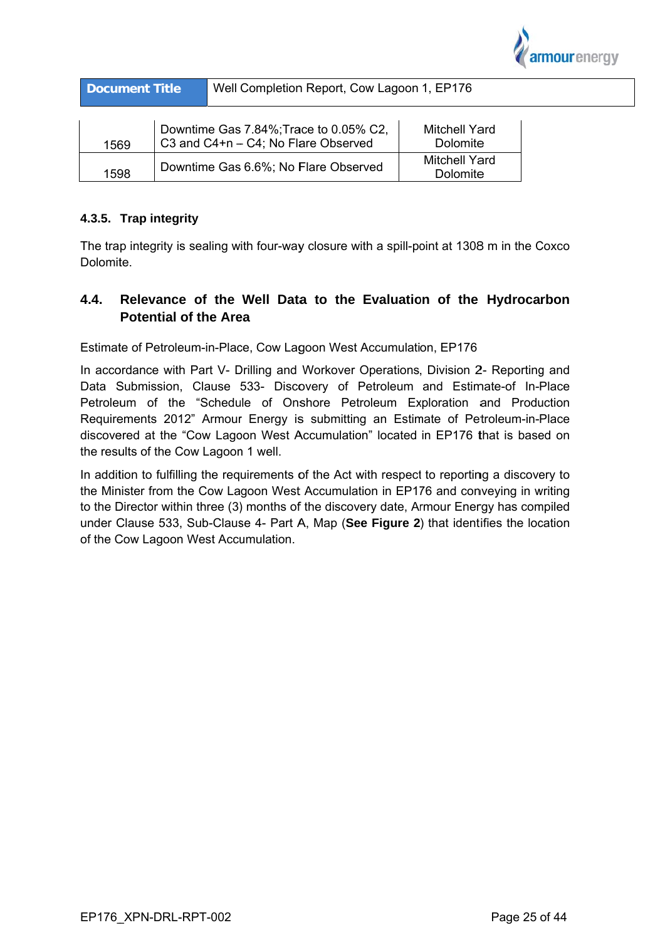

| <b>Document Title</b>                                                                 |                                      | Well Completion Report, Cow Lagoon 1, EP176 |                                  |  |
|---------------------------------------------------------------------------------------|--------------------------------------|---------------------------------------------|----------------------------------|--|
| Downtime Gas 7.84%; Trace to 0.05% C2.<br>C3 and C4+n - C4; No Flare Observed<br>1569 |                                      |                                             | <b>Mitchell Yard</b><br>Dolomite |  |
| 1598                                                                                  | Downtime Gas 6.6%; No Flare Observed |                                             | Mitchell Yard<br>Dolomite        |  |

## 4.3.5. Trap integrity

The trap integrity is sealing with four-way closure with a spill-point at 1308 m in the Coxco Dolomite.

### $4.4.$ Relevance of the Well Data to the Evaluation of the Hydrocarbon **Potential of the Area**

Estimate of Petroleum-in-Place, Cow Lagoon West Accumulation, EP176

In accordance with Part V- Drilling and Workover Operations, Division 2- Reporting and Data Submission, Clause 533- Discovery of Petroleum and Estimate-of In-Place Petroleum of the "Schedule of Onshore Petroleum Exploration and Production Requirements 2012" Armour Energy is submitting an Estimate of Petroleum-in-Place discovered at the "Cow Lagoon West Accumulation" located in EP176 that is based on the results of the Cow Lagoon 1 well.

In addition to fulfilling the requirements of the Act with respect to reporting a discovery to the Minister from the Cow Lagoon West Accumulation in EP176 and conveying in writing to the Director within three (3) months of the discovery date, Armour Energy has compiled under Clause 533, Sub-Clause 4- Part A, Map (See Figure 2) that identifies the location of the Cow Lagoon West Accumulation.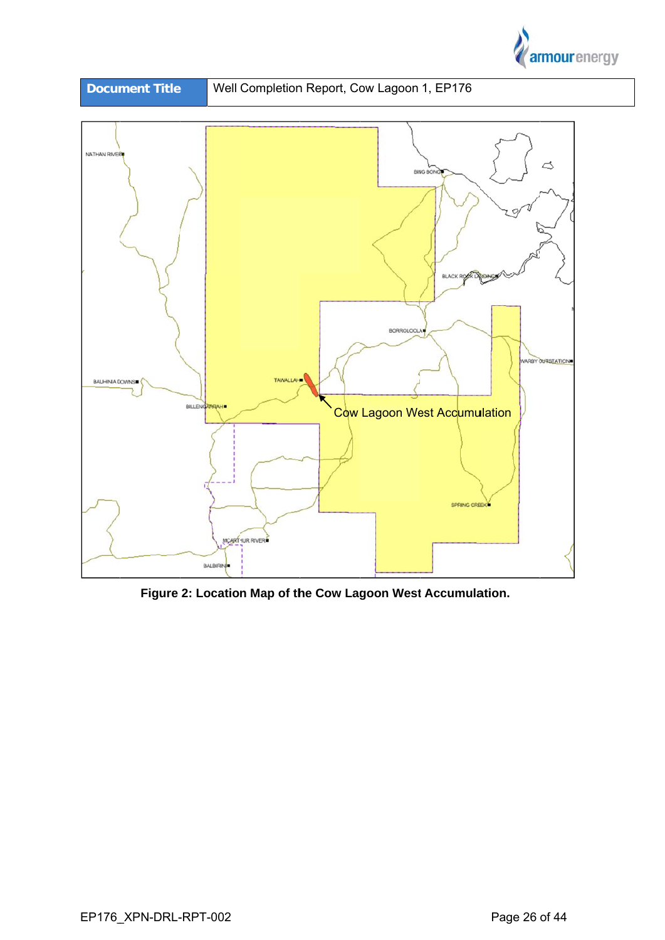



Figure 2: Location Map of the Cow Lagoon West Accumulation.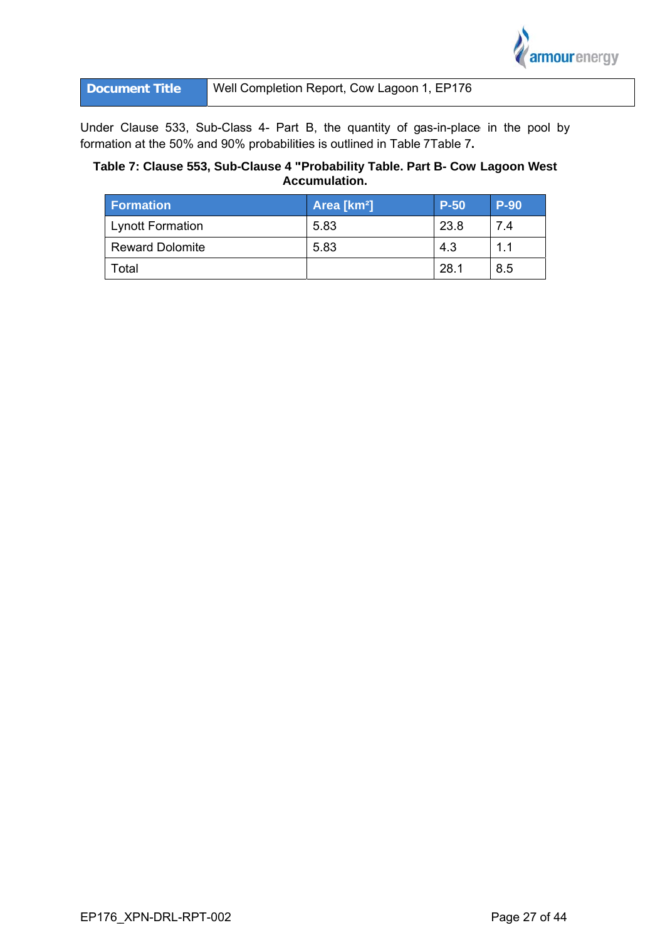

Well Completion Report, Cow Lagoon 1, EP176 **Document Title** 

Under Clause 533, Sub-Class 4- Part B, the quantity of gas-in-place in the pool by formation at the 50% and 90% probabilities is outlined in Table 7Table 7.

# Table 7: Clause 553, Sub-Clause 4 "Probability Table. Part B- Cow Lagoon West Accumulation.

| Formation               | Area [km <sup>2</sup> ] | $P-50$ | <b>P-90</b> |
|-------------------------|-------------------------|--------|-------------|
| <b>Lynott Formation</b> | 5.83                    | 23.8   | 74          |
| <b>Reward Dolomite</b>  | 5.83                    | 4.3    | 11          |
| Total                   |                         | 28.1   | 8.5         |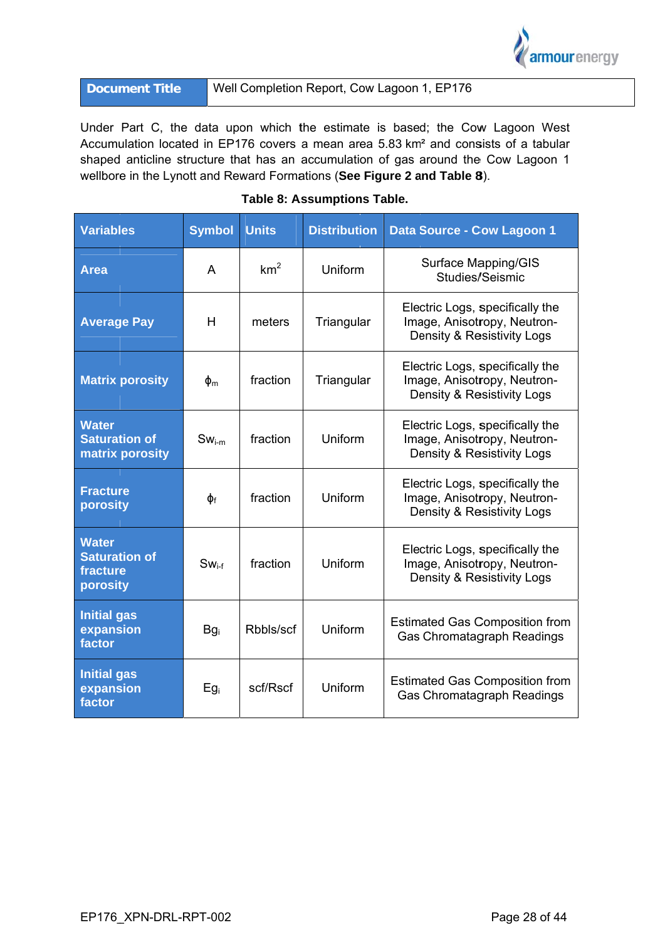

| <b>Document Title</b> | Well Completion Report, Cow Lagoon 1, EP176 |
|-----------------------|---------------------------------------------|
|-----------------------|---------------------------------------------|

Under Part C, the data upon which the estimate is based; the Cow Lagoon West Accumulation located in EP176 covers a mean area 5.83 km<sup>2</sup> and consists of a tabular shaped anticline structure that has an accumulation of gas around the Cow Lagoon 1 wellbore in the Lynott and Reward Formations (See Figure 2 and Table 8).

| <b>Variables</b>                                             | <b>Symbol</b>   | <b>Units</b>    | <b>Distribution</b> | Data Source - Cow Lagoon 1                                                                   |
|--------------------------------------------------------------|-----------------|-----------------|---------------------|----------------------------------------------------------------------------------------------|
| <b>Area</b>                                                  | A               | km <sup>2</sup> | Uniform             | Surface Mapping/GIS<br>Studies/Seismic                                                       |
| <b>Average Pay</b>                                           | H               | meters          | Triangular          | Electric Logs, specifically the<br>Image, Anisotropy, Neutron-<br>Density & Resistivity Logs |
| <b>Matrix porosity</b>                                       | $\Phi_{\rm m}$  | fraction        | Triangular          | Electric Logs, specifically the<br>Image, Anisotropy, Neutron-<br>Density & Resistivity Logs |
| <b>Water</b><br><b>Saturation of</b><br>matrix porosity      | $Sw_{i-m}$      | fraction        | Uniform             | Electric Logs, specifically the<br>Image, Anisotropy, Neutron-<br>Density & Resistivity Logs |
| <b>Fracture</b><br>porosity                                  | $\Phi_f$        | fraction        | Uniform             | Electric Logs, specifically the<br>Image, Anisotropy, Neutron-<br>Density & Resistivity Logs |
| <b>Water</b><br><b>Saturation of</b><br>fracture<br>porosity | $Sw_{i.f}$      | fraction        | Uniform             | Electric Logs, specifically the<br>Image, Anisotropy, Neutron-<br>Density & Resistivity Logs |
| <b>Initial gas</b><br>expansion<br>factor                    | Bg <sub>i</sub> | Rbbls/scf       | Uniform             | <b>Estimated Gas Composition from</b><br><b>Gas Chromatagraph Readings</b>                   |
| <b>Initial gas</b><br>expansion<br>factor                    | $Eg_i$          | scf/Rscf        | Uniform             | <b>Estimated Gas Composition from</b><br>Gas Chromatagraph Readings                          |

# Table 8: Assumptions Table.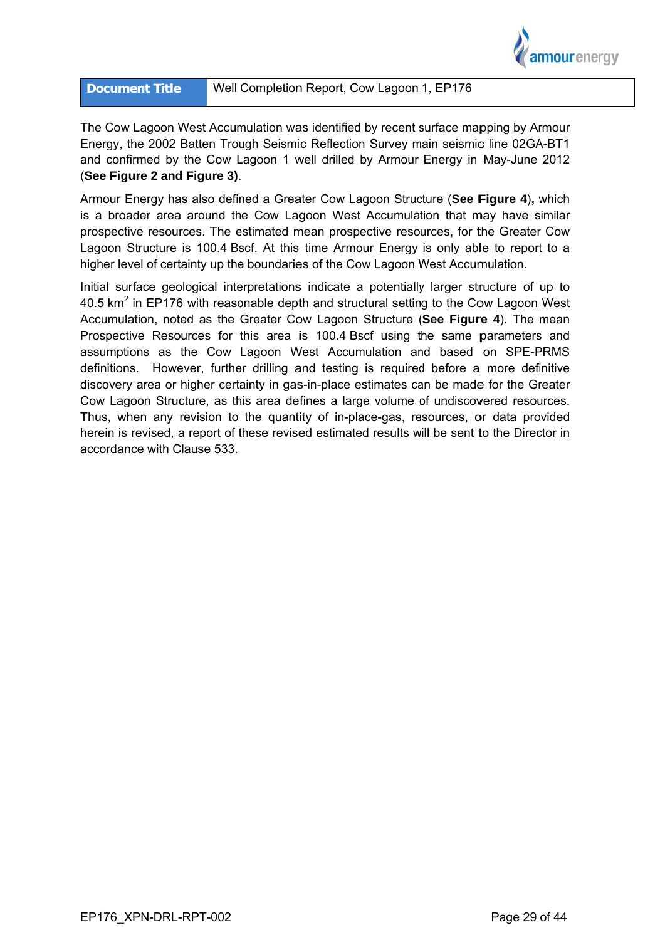

The Cow Lagoon West Accumulation was identified by recent surface mapping by Armour Energy, the 2002 Batten Trough Seismic Reflection Survey main seismic line 02GA-BT1 and confirmed by the Cow Lagoon 1 well drilled by Armour Energy in May-June 2012 (See Figure 2 and Figure 3).

Armour Energy has also defined a Greater Cow Lagoon Structure (See Figure 4), which is a broader area around the Cow Lagoon West Accumulation that may have similar prospective resources. The estimated mean prospective resources, for the Greater Cow Lagoon Structure is 100.4 Bscf. At this time Armour Energy is only able to report to a higher level of certainty up the boundaries of the Cow Lagoon West Accumulation.

Initial surface geological interpretations indicate a potentially larger structure of up to 40.5 km<sup>2</sup> in EP176 with reasonable depth and structural setting to the Cow Lagoon West Accumulation, noted as the Greater Cow Lagoon Structure (See Figure 4). The mean Prospective Resources for this area is 100.4 Bscf using the same parameters and assumptions as the Cow Lagoon West Accumulation and based on SPE-PRMS definitions. However, further drilling and testing is required before a more definitive discovery area or higher certainty in gas-in-place estimates can be made for the Greater Cow Lagoon Structure, as this area defines a large volume of undiscovered resources. Thus, when any revision to the quantity of in-place-gas, resources, or data provided herein is revised, a report of these revised estimated results will be sent to the Director in accordance with Clause 533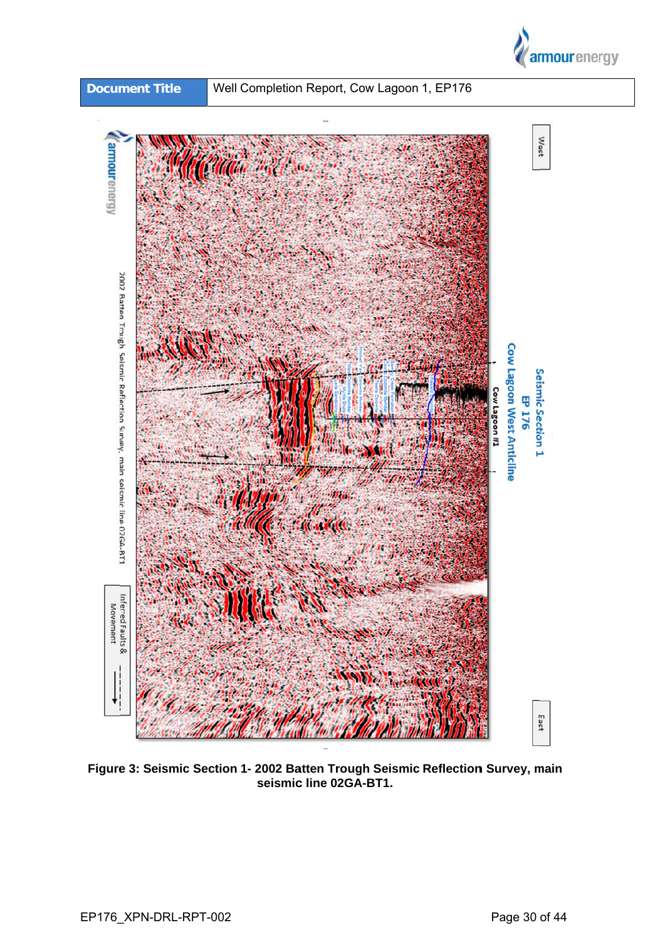



Figure 3: Seismic Section 1- 2002 Batten Trough Seismic Reflection Survey, main<br>seismic line 02GA-BT1.